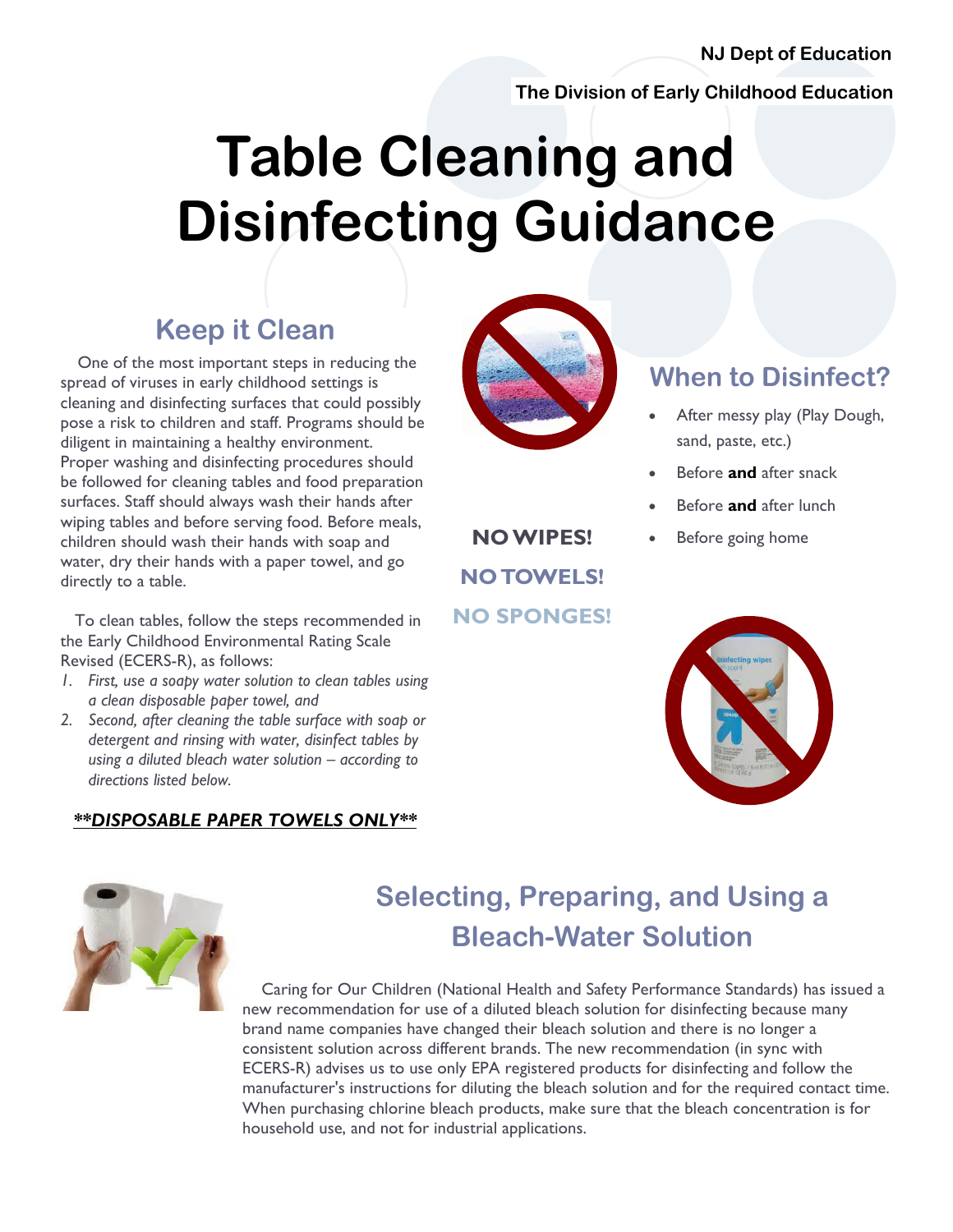#### **NJ Dept of Education**

**The Division of Early Childhood Education** 

# **Table Cleaning and Disinfecting Guidance**

#### **Keep it Clean**

 One of the most important steps in reducing the spread of viruses in early childhood settings is cleaning and disinfecting surfaces that could possibly pose a risk to children and staff. Programs should be diligent in maintaining a healthy environment. Proper washing and disinfecting procedures should be followed for cleaning tables and food preparation surfaces. Staff should always wash their hands after wiping tables and before serving food. Before meals, children should wash their hands with soap and water, dry their hands with a paper towel, and go directly to a table.

 To clean tables, follow the steps recommended in the Early Childhood Environmental Rating Scale Revised (ECERS-R), as follows:

- *1. First, use a soapy water solution to clean tables using a clean disposable paper towel, and*
- *2. Second, after cleaning the table surface with soap or detergent and rinsing with water, disinfect tables by using a diluted bleach water solution – according to directions listed below.*

#### *\*\*DISPOSABLE PAPER TOWELS ONLY\*\**



**NO TOWELS!** 

**NO SPONGES!**

#### **When to Disinfect?**

- After messy play (Play Dough, sand, paste, etc.)
- Before **and** after snack
- Before **and** after lunch
- **NO WIPES!** Before going home



# **Selecting, Preparing, and Using a Bleach-Water Solution**

 Caring for Our Children (National Health and Safety Performance Standards) has issued a new recommendation for use of a diluted bleach solution for disinfecting because many brand name companies have changed their bleach solution and there is no longer a consistent solution across different brands. The new recommendation (in sync with ECERS-R) advises us to use only EPA registered products for disinfecting and follow the manufacturer's instructions for diluting the bleach solution and for the required contact time. When purchasing chlorine bleach products, make sure that the bleach concentration is for household use, and not for industrial applications.